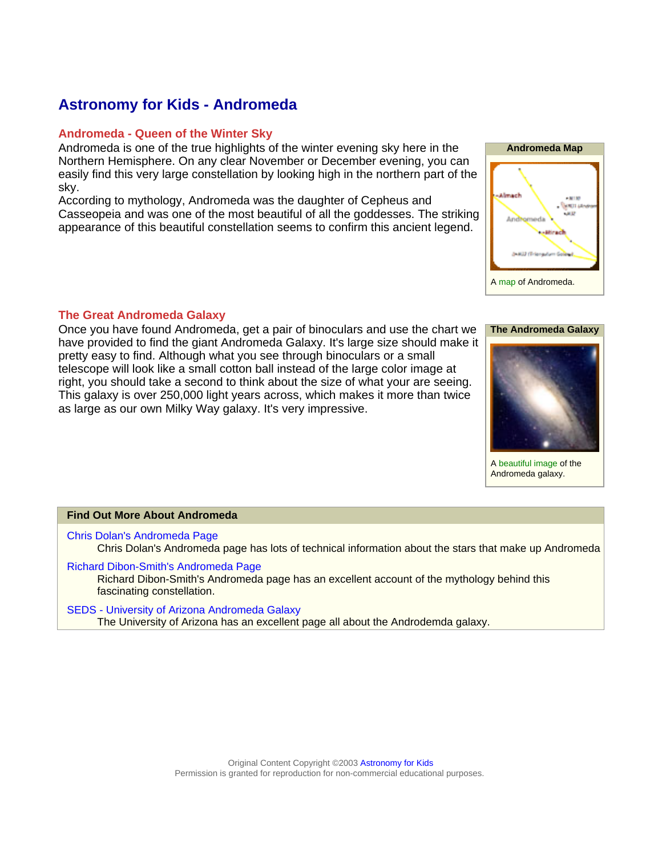### **Astronomy for Kids - Andromeda**

#### **Andromeda - Queen of the Winter Sky**

Andromeda is one of the true highlights of the winter evening sky here in the Northern Hemisphere. On any clear November or December evening, you can easily find this very large constellation by looking high in the northern part of the sky.

According to mythology, Andromeda was the daughter of Cepheus and Casseopeia and was one of the most beautiful of all the goddesses. The striking appearance of this beautiful constellation seems to confirm this ancient legend.



### **The Great Andromeda Galaxy**

Once you have found Andromeda, get a pair of binoculars and use the chart we have provided to find the giant Andromeda Galaxy. It's large size should make it pretty easy to find. Although what you see through binoculars or a small telescope will look like a small cotton ball instead of the large color image at right, you should take a second to think about the size of what your are seeing. This galaxy is over 250,000 light years across, which makes it more than twice as large as our own Milky Way galaxy. It's very impressive.





A [beautiful image](#page-2-0) of the Andromeda galaxy.

#### **Find Out More About Andromeda**

[Chris Dolan's Andromeda Page](http://www.astro.wisc.edu/~dolan/constellations/constellations/Andromeda.html) Chris Dolan's Andromeda page has lots of technical information about the stars that make up Andromeda

[Richard Dibon-Smith's Andromeda Page](http://www.dibonsmith.com/and_con.htm) Richard Dibon-Smith's Andromeda page has an excellent account of the mythology behind this fascinating constellation.

[SEDS - University of Arizona Andromeda Galaxy](http://www.seds.org/messier/m/m031.html) The University of Arizona has an excellent page all about the Androdemda galaxy.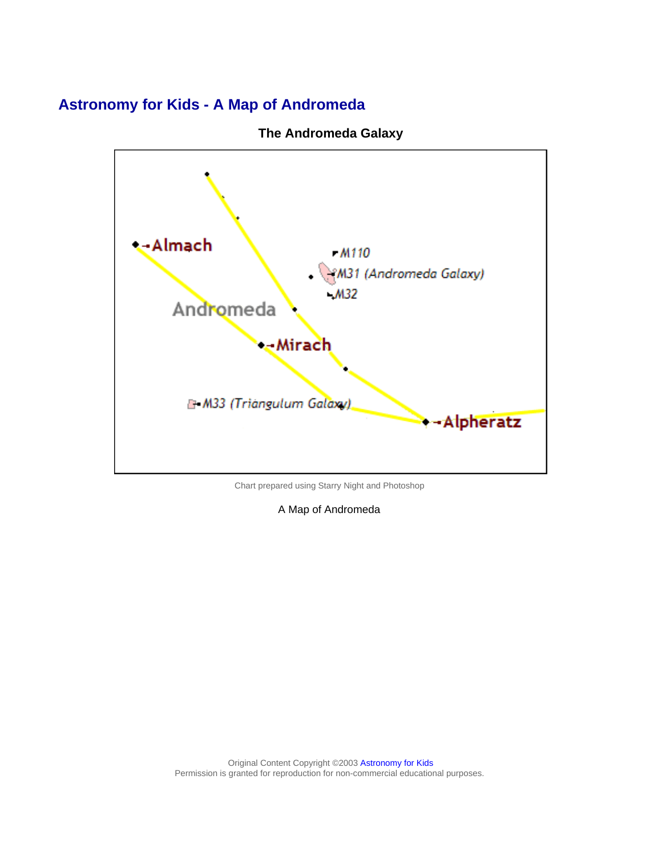# <span id="page-1-0"></span>**Astronomy for Kids - A Map of Andromeda**



**The Andromeda Galaxy**

Chart prepared using Starry Night and Photoshop

A Map of Andromeda